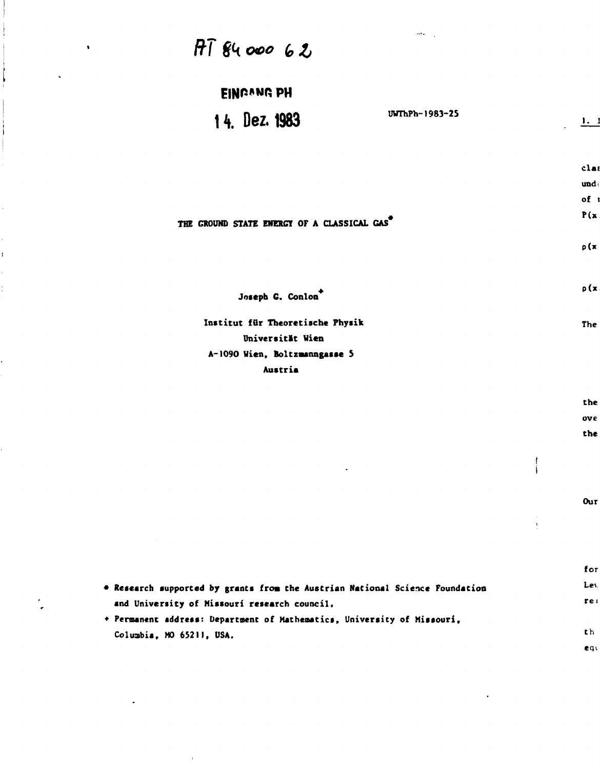| $\mathbb{R}^{2}$ .<br>$\sim$<br>$H\overline{I}$ $84$ 000 62                  |                                |                |
|------------------------------------------------------------------------------|--------------------------------|----------------|
|                                                                              |                                |                |
| <b>EINGONG PH</b>                                                            |                                |                |
| UWThPh-1983-25<br>14. Dez. 1983                                              |                                | $\mathbf{1}$ . |
|                                                                              |                                | clas           |
|                                                                              |                                | und $\epsilon$ |
|                                                                              |                                | of t           |
| THE GROUND STATE ENERGY OF A CLASSICAL GAS                                   |                                | P(x)           |
|                                                                              |                                | p(x)           |
| Joseph G. Conlon                                                             |                                | $\rho(x)$      |
| Institut für Theoretische Physik                                             |                                | The            |
| Universität Wien                                                             |                                |                |
| A-1090 Wien, Boltzmanngasse 5                                                |                                |                |
| Austria                                                                      |                                |                |
|                                                                              |                                | the            |
|                                                                              |                                | ove            |
|                                                                              |                                | the            |
| ٠                                                                            |                                |                |
|                                                                              |                                |                |
|                                                                              |                                | Our            |
|                                                                              | $\sim$<br>$\frac{1}{\epsilon}$ |                |
| $\sim$                                                                       |                                |                |
|                                                                              |                                | for            |
| * Research supported by grants from the Austrian National Science Foundation |                                | Les.           |
| and University of Missouri research council.                                 |                                | rel            |

**• Permanent address: Department of Mathematics, University of Missouri, Columbia, MO 65211, USA.** 

 $\overline{1}$ 

 $\hat{\mathbf{r}}$ 

 $\ddot{\phantom{0}}$ 

 $\overline{\phantom{a}}$ 

 $\mathbf{r}$ 

í,  $\bar{\rm i}$  $\frac{1}{4}$  $\frac{1}{3}$ 

> $\epsilon$  $\bullet$  .

> > $th$ equ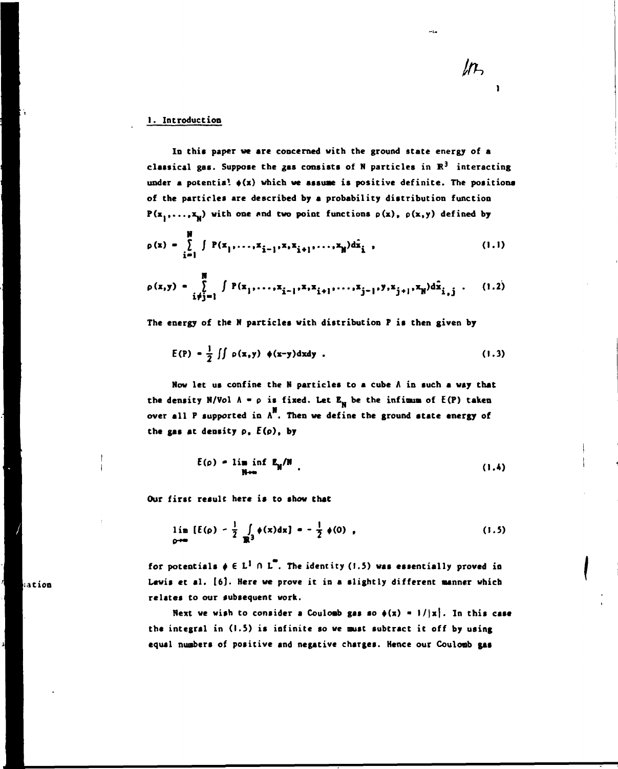## **I. Introduction**

**In this paper we are concerned with the ground state energy of a**  classical gas. Suppose the gas consists of N particles in  $\mathbb{R}^3$  interacting under a potential  $\phi(x)$  which we assume is positive definite. The positions **of the particles are described by a probability distribution function**   $P(x_1,...,x_n)$  with one and two point functions  $p(x)$ ,  $p(x,y)$  defined by

 $ln$ 

 $\mathcal{L}_{\mathcal{A}}$ 

$$
\rho(x) = \sum_{i=1}^{N} \int P(x_1, \ldots, x_{i-1}, x, x_{i+1}, \ldots, x_N) d\hat{x}_i,
$$
 (1.1)

$$
\rho(x,y) = \int_{\substack{i \neq j=1}}^{M} \int P(x_1,\ldots,x_{i-1},x,x_{i+1},\ldots,x_{j-1},y,x_{j+1},x_N) d\hat{x}_{i,j} \qquad (1.2)
$$

**The energy of the N particles with distribution F is then given by** 

$$
E(P) = \frac{1}{2} \iint \rho(x,y) \phi(x-y) dxdy
$$
 (1.3)

**Now let us confine the N particles to a cube A in such a way that**  the density N/Vol  $A = \rho$  is fixed. Let  $E_{\text{N}}$  be the infimum of  $E(P)$  taken over all P supported in  $A^{\mathbf{N}}$ . Then we define the ground state energy of **the gas at density p, E(p), by** 

$$
E(\rho) = \lim_{N \to \infty} \inf_{N} E_N/N
$$
 (1.4)

**Our first result here is to show that** 

$$
\lim_{\rho \to \infty} \left[ E(\rho) - \frac{1}{2} \int_{\mathbb{R}^3} \phi(x) dx \right] = - \frac{1}{2} \phi(0) , \qquad (1.5)
$$

for potentials  $\phi \in L^1 \cap L^2$ . The identity (1.5) was essentially proved in **Lewis et al. [6). Here we prove it in a slightly different aanner which relstes to our subsequent work.** 

Next we wish to consider a Coulomb gas so  $\phi(x) = 1/|x|$ . In this case **the integral in (1.5) is infinite so we must subtract it off by using equal nunbers of positive and negative charges. Hence our Couloab gat** 

a**tion**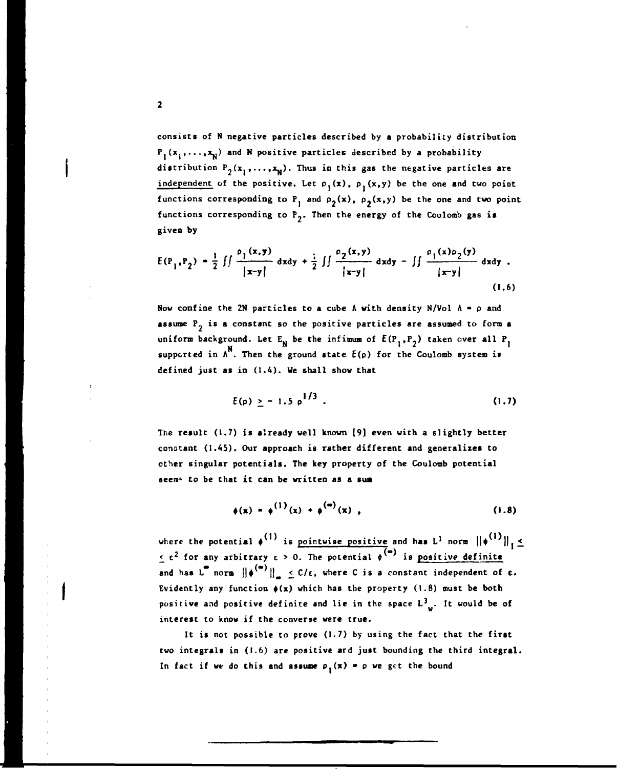**consists of N negative particles described by a probability distribution**   $P_1(x_1,...,x_N)$  and N positive particles described by a probability distribution  $P_2(x_1,...,x_N)$ . Thus in this gas the negative particles are independent of the positive. Let  $p_1(x)$ ,  $p_2(x,y)$  be the one and two point functions corresponding to P<sub>1</sub> and  $\rho_2(x)$ ,  $\rho_2(x,y)$  be the one and two point functions corresponding to  $P_2$ . Then the energy of the Coulomb gas is **given by** 

$$
E(P_1, P_2) = \frac{1}{2} \iint \frac{\rho_1(x, y)}{|x - y|} dxdy + \frac{1}{2} \iint \frac{\rho_2(x, y)}{|x - y|} dxdy - \iint \frac{\rho_1(x)\rho_2(y)}{|x - y|} dxdy.
$$
\n(1.6)

**Now confine the 2N particles to a cube**  $\Lambda$  **with density N/Vol**  $\Lambda = \rho$  **and assume P\_ is a constant so the positive particles are assumed to form a**  uniform background. Let  $E_N$  be the infimum of  $E(P_1, P_2)$  taken over all  $P_1$ **N supported in A . Then the ground state E(p) for the Coulomb system is defined just as in (1.4). We shall show that** 

$$
E(\rho) \geq -1.5 \rho^{1/3} \tag{1.7}
$$

**The result (1.7) is already well known [9] even with a slightly better constant (I.AS). Our approach is rather different and generalires to other singular potentials. The key property of the Coulomb potential seem« to be that it can be written as a sum** 

$$
\phi(x) = \phi^{(1)}(x) + \phi^{(m)}(x) , \qquad (1.8)
$$

**where the potential**  $\phi''$  **is pointwise positive and has L<sup>1</sup> norm**  $\|\phi'''\|_1 \leq$ <sup>2</sup> for any arbitrary  $\epsilon > 0$  The notential  $\phi^{(m)}$  is nositive definite and has L<sup>''</sup> norm  $\|\phi^{(0)}\|_{\infty} \leq C/\epsilon$ , where C is a constant independent of  $\epsilon$ . Evidently any function  $\phi(x)$  which has the property (1.8) must be both positive and positive definite and lie in the space  $L^3$ ... It would be of interest to know if the converse were true.

It is not possible to prove (1.7) by using the fact that the first two integrals in (1.6) are positive ard just bounding the third integral. In fact if we do this and assume  $\rho_1(x) = p$  we get the bound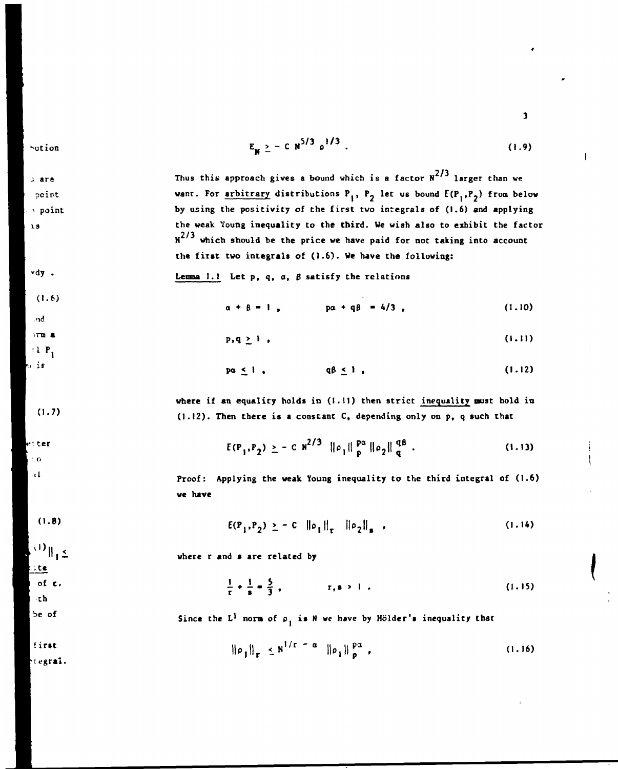bution

 $3$  are

 $\mathbf{r}$ 

 $(1.6)$ 

 $(1.7)$ 

n ter  $1.0$  $\approx 1$ 

nd  $5T$ m  $\triangle$  $\pm 1$  P, n is

$$
E_{N} \geq - C N^{5/3} \rho^{1/3} \tag{1.9}
$$

Thus this approach gives a bound which is a factor  $N^{2/3}$  larger than we want. For arbitrary distributions P<sub>1</sub>, P<sub>2</sub> let us bound  $E(P_1,P_2)$  from below point **by using the positivity of the first two integrals of (1.6) and applying**  point **the weak Young inequality to the third. Ve wish also to exhibit the factor**   $N^{2/3}$  which should be the price we have paid for not taking into account **the first two integrals of (1.6). We have the following:** 

$$
\forall dy
$$
. Lemma 1.1 Let p, q, a,  $\beta$  satisfy the relations

$$
\alpha + \beta = 1, \qquad \qquad \text{p}\alpha + q\beta = 4/3 \tag{1.10}
$$

$$
p,q \geq 1 \tag{1.11}
$$

$$
pa \leq 1, \qquad \qquad q\beta \leq 1, \qquad (1.12)
$$

**where if an equality holds in (1.11) then strict inequality must hold in (1.12). Then there is a constant C, depending only on p, q such that** 

$$
E(P_1, P_2) \geq - C \, N^{2/3} \, \|\rho_1\|_p^{p\alpha} \, \|\rho_2\|_q^{q\beta} \, . \tag{1.13}
$$

**Proof: Applying the weak Young inequality to the third integral of (1.6) we have** 

$$
E(P_1, P_2) \geq - C \|\rho_1\|_T \|\rho_2\|_B , \qquad (1.14)
$$

 $\mathbb{E}_{\mathbf{1}}\mathbb{I}^{(1)}$  $\mathcal{L}$  te

 $(1.8)$ 

**where r and s are related by** 

$$
\frac{1}{r} + \frac{1}{s} = \frac{5}{3}, \qquad r, s > 1. \tag{1.15}
$$

 $\cdot$ th be of

first regral.

of e.

Since the 
$$
L^1
$$
 norm of  $\rho_1$  is N we have by Hölder's inequality that

$$
\|\rho_{1}\|_{r} \leq N^{1/r - \alpha} \|\rho_{1}\|_{p}^{p\alpha} \tag{1.16}
$$

 $\mathbf{3}$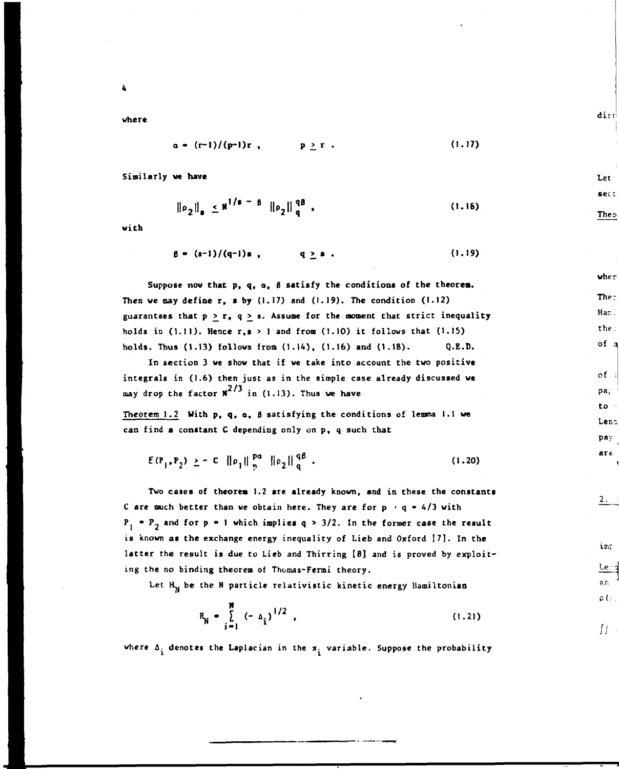**4** 

**where** 

$$
\alpha = (r-1)/(\mathbf{p-1})\mathbf{r}, \qquad \mathbf{p} \geq \mathbf{r}. \qquad (1.17)
$$

**Similarly we have** 

$$
\|\rho_2\|_{\mathbf{s}} \leq \mathbf{H}^{\dagger/\mathbf{s}} = \mathbf{B} \|\rho_2\|_{\mathbf{q}}^{\mathbf{q}\mathbf{B}}, \qquad (1.18)
$$

**with** 

$$
\beta = (s-1)/(q-1)s , \qquad q \geq s . \qquad (1.19)
$$

**Suppose now that p, q, a,** *B* **satisfy the conditions of the theorem. Then we may define r, s by (1.17) and (1.19). The condition (1.12)**  guarantees that  $p > r$ ,  $q \geq s$ . Assume for the moment that strict inequality **holds in (1.11). Hence r,s > 1 and from (1.10) it follows that (1.15) holds. Thus (1.13) follows from (1.14), (1.16) and (1.18). Q.E.D.** 

**In section 3 we show that if we take into account the two positive integrals in (1.6) then just as in the simple case already discussed we**  may drop the factor  $N^{2/3}$  in (1.13). Thus we have

**Theorem 1.2 With p, q, o, B satisfying the conditions of lemma 1.1 we can find a constant C depending only on p, q such that** 

$$
E(P_1, P_2) \geq - C \|\rho_1\|_{\frac{p}{2}}^{\frac{pq}{2}} \|\rho_2\|_{\frac{q}{2}}^{\frac{q\beta}{2}}.
$$
 (1.20)

**Two cases of theorem 1.2 are already known, and in these the constants**  C are much better than we obtain here. They are for  $p + q = 4/3$  with  $P_1$   $\bullet$   $P_2$  and for  $p \bullet 1$  which implies  $q \gt 3/2$ . In the former case the result **is known as the exchange energy inequality of Lieb and Oxford [7]. In the latter the result is due to Lieb and Thirring [8] and is proved by exploiting the no binding theorem of Thomas-Fermi theory.** 

Let H<sub>N</sub> be the N particle relativistic kinetic energy Hamiltonian

$$
R_N = \sum_{i=1}^{N} (-\Delta_i)^{1/2}, \qquad (1.21)
$$

**where A. denotes the Laplacian in the** *%•* **variable . Suppose the probability** 

dist

sect Theo

where

The: Hani the: of a

 $\circ$ f  $pa_i$ to. Lena pay  $are$ 

Let

 $2.73$ 

imp

 $Ler<sub>3</sub>$ an  $\rho$  (  $\epsilon$  )

 $\prod$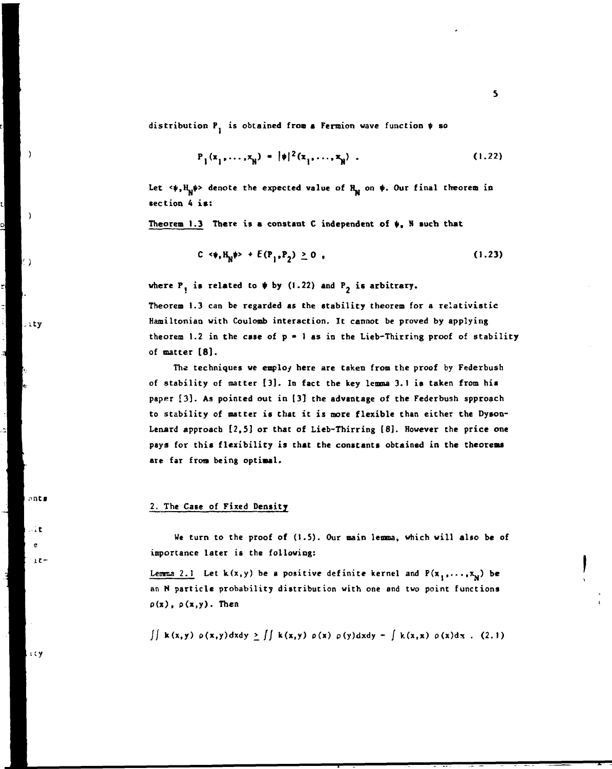distribution  $P_1$  is obtained from a Fermion wave function  $\psi$  so

$$
P_1(x_1, ..., x_N) = |\phi|^2(x_1, ..., x_N) . \qquad (1.22)
$$

Let  $\langle \psi, H_M \psi \rangle$  denote the expected value of  $H_M$  on  $\psi$ . Our final theorem in **section A is :** 

Theorem 1.3 There is a constant  $C$  independent of  $\psi$ ,  $N$  such that

$$
C \langle \psi, H_N \psi \rangle + E(P_1, P_2) \ge 0 \tag{1.23}
$$

where  $P_i$  is related to  $\psi$  by (1.22) and  $P_j$  is arbitrary.

Theorem 1.3 can be regarded as the stability theorem for a relativistic **Hamiltonian with Coulomb interaction. It cannot be proved by applying theorem 1.2 in the case of p • 1 as in the Lieb-Thirring proof of stabilit y of matter [8] .** 

**The techniques we employ here are taken from the proof by Federbush of stabilit y of matter [3] . In fact the key lemma 3.1 is taken from his paper [3] . As pointed out in [3] the advantage of the Federbush spproach**  to stability of matter is that it is more flexible than either the Dyson-**Lenard approach [2,5 ] or that of Lieb-Thirring [8]. However the price one**  pays for this flexibility is that the constants obtained in the theorems **are far from being optimal.** 

### **2. The Case of Fixed Density**

**We turn to the proof of (1.5). Our main lemma, which will also be of importance later is the following:** 

Lemma 2.1 Let  $k(x, y)$  be a positive definite kernel and  $P(x_1, \ldots, x_n)$  be an N particle probability distribution with one and two point functions **p(x), p(x,y). Then** 

 $\int \int k(x,y) \rho(x,y) dx dy \ge \int \int k(x,y) \rho(x) \rho(y) dx dy - \int k(x,x) \rho(x) dx$ . (2.1)

ity

ants

ssitt. .e  $-1t-$ 

 $\lambda$ 

 $\rightarrow$ 

 $-1$ ty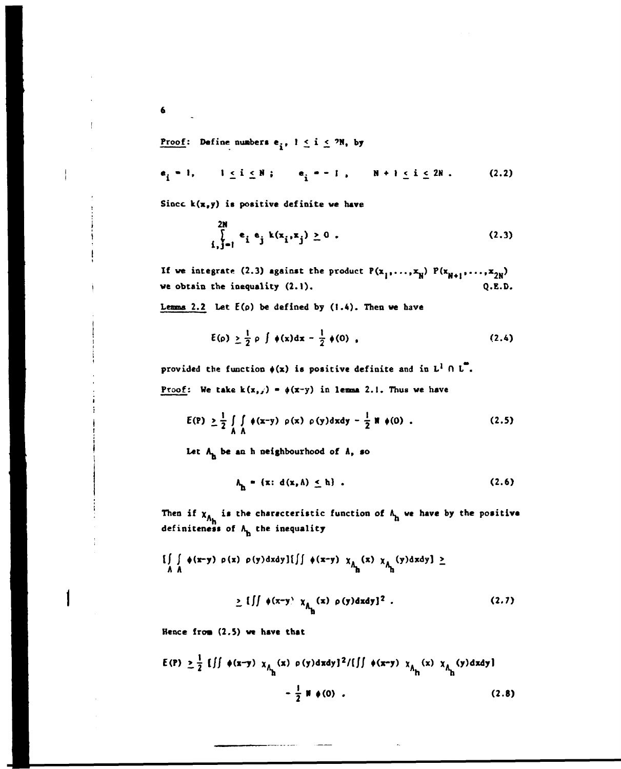**Proof:** Define numbers  $e_i$ ,  $1 \le i \le 2N$ , by

$$
e_i = 1
$$
,  $1 \le i \le N$ ;  $e_i = -1$ ,  $N + 1 \le i \le 2N$ . (2.2)

**Since k(x,y) is positive definite we have** 

$$
\sum_{i,j=1}^{2N} e_i e_j k(x_i, x_j) \ge 0 .
$$
 (2.3)

If we integrate (2.3) against the product  $P(x_1, ..., x_N)$   $P(x_{N+1}, ..., x_{2N})$ **we obtain the inequality (2.1). Q.E.D.** 

**Lemma 2.2 Let E(p) be defined by (1.4). Then we have** 

$$
\mathbf{E}(\mathbf{p}) \geq \frac{1}{2} \mathbf{p} \int \phi(\mathbf{x}) d\mathbf{x} - \frac{1}{2} \phi(0) , \qquad (2.4)
$$

**provided the function**  $\phi(x)$  **is positive definite and in**  $L^1 \cap L^2$ **.** 

**Proof:** We take  $k(x, y) = \phi(x-y)$  in lemma 2.1. Thus we have

$$
E(P) \geq \frac{1}{2} \int_{A} \int_{A} \phi(x-y) \rho(x) \rho(y) dx dy - \frac{1}{2} \mathbb{1} \phi(0) .
$$
 (2.5)

Let  $A_n$  be an h neighbourhood of  $\Lambda$ , so

$$
\Lambda_{\mathbf{h}} = \{ \mathbf{x} \colon \mathbf{d}(\mathbf{x}, \Lambda) \leq \mathbf{h} \} \tag{2.6}
$$

Then if  $x_{A_h}$  is the characteristic function of  $A_h$  we have by the positive **definiteness of A. the inequality** 

$$
\iint\limits_{A} \phi(x-y) \rho(x) \rho(y) dxdy \iint\int \phi(x-y) \chi_{A_{\underline{h}}}(x) \chi_{A_{\underline{h}}}(y) dxdy \iint
$$

 $\sum_{\lambda} [f] \phi(x-y) \chi_A(x) \rho(y) dx dy]^2$ . (2.7)  $\mathbf{r}$ 

Hence from (2.5) we have that

$$
E(P) \ge \frac{1}{2} [ \int \phi(x-y) \chi_{\Lambda_{h}}(x) \rho(y) dxdy]^{2} / [\int \phi(x-y) \chi_{\Lambda_{h}}(x) \chi_{\Lambda_{h}}(y) dxdy] - \frac{1}{2} W \phi(0) .
$$
 (2.8)

**6**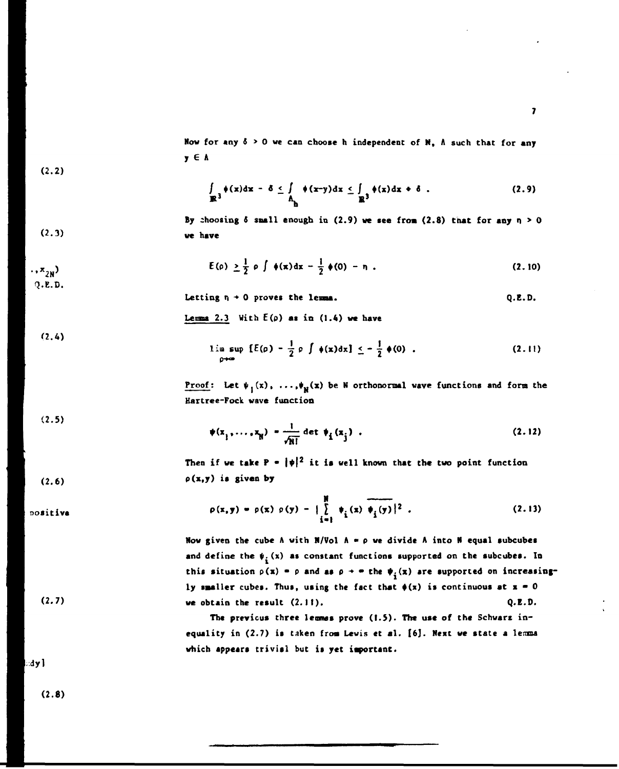Now for any  $\delta > 0$  we can choose h independent of  $N$ ,  $\Lambda$  such that for any **y G A** 

$$
(2.2)
$$

$$
\int_{\mathbb{R}^3} \phi(x) dx - \delta \leq \int_{\Lambda} \phi(x-y) dx \leq \int_{\mathbb{R}^3} \phi(x) dx + \delta .
$$
 (2.9)

By choosing  $\delta$  small enough in  $(2.9)$  we see from  $(2.8)$  that for any  $n \ge 0$ **(2.3) ye have** 

$$
E(\rho) \geq \frac{1}{2} \rho \int \phi(x) dx - \frac{1}{2} \phi(0) - \eta
$$
 (2.10)

$$
\overline{Q.E.D.}
$$

**(2.4)** 

Letting  $n \rightarrow 0$  proves the lemma.  $Q.E.D.$ 

Leuma  $2.3$  With  $E(\rho)$  as in  $(1.4)$  we have

$$
\lim_{\rho\to\infty}\sup\limits [E(\rho)-\frac{1}{2}\rho\int \phi(x)dx]\leq-\frac{1}{2}\phi(0).
$$
 (2.11)

**Proof:** Let  $\psi_1(x)$ , ...,  $\psi_N(x)$  be N orthonormal wave functions and form the **Hartree-Fock wave function** 

**(2.5)** 

**nositivs** 

$$
\psi(x_1, \dots, x_N) = \frac{1}{\sqrt{N!}} \det \psi_i(x_j) \tag{2.12}
$$

Then if we take  $P = |\psi|^2$  it is well known that the two point function  $(2.6)$   $\rho(x,y)$  is given by

> $p(x,y) = p(x) p(y) - |\int p(x, y)|^2$ . (2.13) **i-1 <sup>l</sup> \***

**Now given the cube A with N/Vol**  $A = \rho$  **we divide A into N equal subcubes** and define the  $\psi_i(x)$  as constant functions supported on the subcubes. In this situation  $p(x) = p$  and as  $p \rightarrow \infty$  the  $\psi_i(x)$  are supported on increasingly smaller cubes. Thus, using the fact that  $\phi(x)$  is continuous at  $x = 0$ **(2.7)<sup>w</sup> <sup>e</sup> obtain the result (2.11). Q.E.D.** 

> The previous three lemmes prove (1.5). The use of the Schwarz inequality in (2.7) is taken from Lewis et al. [6]. Next we state a lemma **which appears trivisl but is yet important.**

**dyl** 

**(2.8)**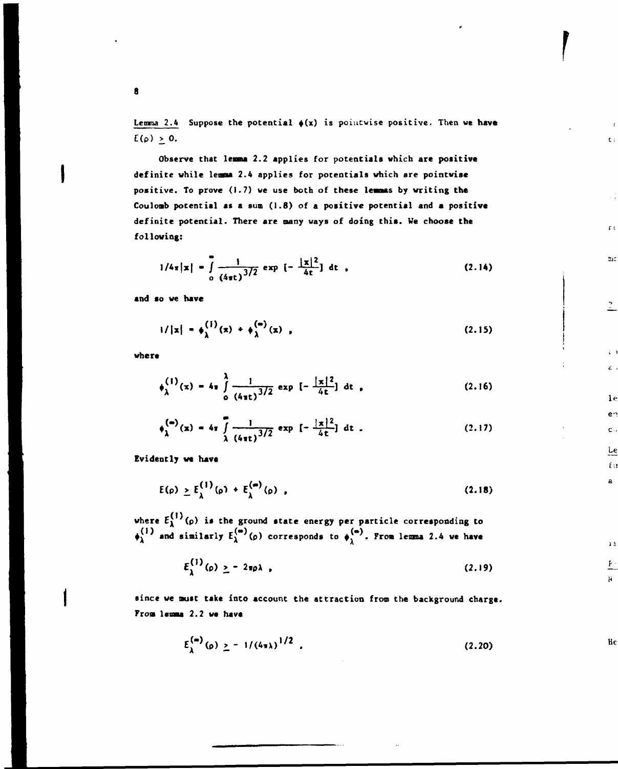Lemma 2.4 Suppose the potential  $\phi(x)$  is pointwise positive. Then we have  $E(\rho) \geq 0$ .

 $\mathbf{C}$  :

 $\Gamma$  t

 $\mathfrak{m} z$ 

 $\stackrel{?}{=}$ 

 $\mathcal{L}^{(1)}$  $\hat{\mathbf{c}}$  .

 $1<sub>e</sub>$ en  $\mathbf{c}$  .

 $Le$ </u>  $f$  :  $\mathbf{a}$ 

 $\mathbf{1}$ 

 $\frac{P}{1}$ ł.

Hc

**Observe that lemma 2.2 applies for potentials which are positive definite while lease 2.4 applies for potentials which are pointwise positive. To prove (1.7) we use both of these lemmas by writing the**  Coulomb potential as a sum (1.8) of a positive potential and a positive **definite potential. There are many ways of doing this. We choose the following:** 

$$
1/4\pi|x| = \int_{0}^{1} \frac{1}{(4\pi t)^{3/2}} \exp \left[ -\frac{|x|^2}{4t} \right] dt
$$
 (2.14)

**and so we have** 

$$
1/|x| = \phi_{\lambda}^{(1)}(x) + \phi_{\lambda}^{(\infty)}(x) , \qquad (2.15)
$$

**where** 

$$
\phi_{\lambda}^{(1)}(\mathbf{x}) = 4\pi \int_{0}^{\lambda} \frac{1}{(4\pi t)^{3/2}} \exp\left[-\frac{|\mathbf{x}|^2}{4t}\right] dt,
$$
 (2.16)

$$
\phi_{\lambda}^{(\infty)}(x) = 4\pi \int_{\lambda}^{0} \frac{1}{(4\pi t)^{3/2}} \exp \left[ -\frac{|x|^2}{4t} \right] dt . \qquad (2.17)
$$

**Evidently we have** 

$$
E(\rho) \ge E_{\lambda}^{(1)}(\rho) + E_{\lambda}^{(\omega)}(\rho) , \qquad (2.18)
$$

**where Ej (p) is the ground state energy per particle corresponding to**   $\phi_1$ <sup>+</sup> and similarly  $E_1^{\vee}$  (p) corresponds to  $\phi_1^{\vee}$ . From lemma 2.4 we have

$$
E_{\lambda}^{(1)}(\rho) \geq -2\pi\rho\lambda \tag{2.19}
$$

**since we must take into account the attraction from the background charge. From lemma 2.2 we have** 

$$
E_{\lambda}^{(m)}(\rho) \geq -1/(4\pi\lambda)^{1/2} \tag{2.20}
$$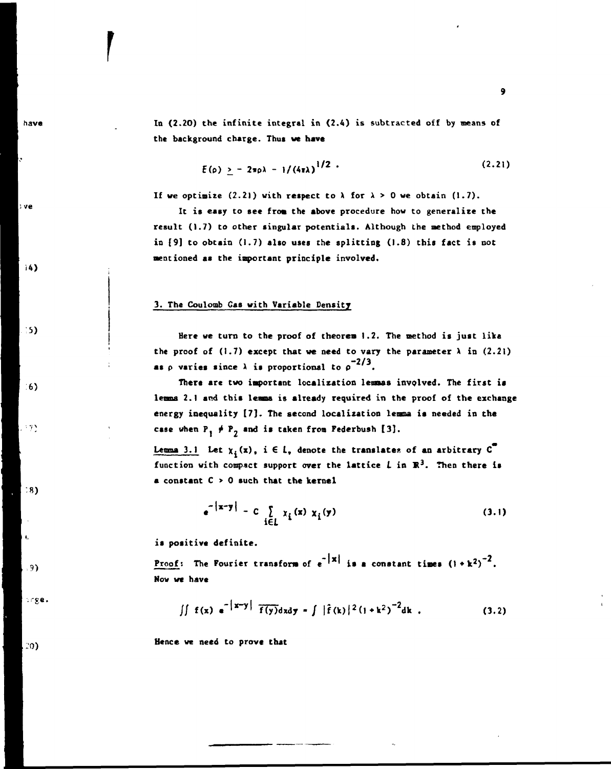**In (2.20) the infinite integral in (2.4) is subtracted off by means of the background charge. Thus we have** 

$$
E(\rho) \geq -2\pi\rho\lambda - 1/(4\pi\lambda)^{1/2} \tag{2.21}
$$

If we optimize  $(2.21)$  with respect to  $\lambda$  for  $\lambda > 0$  we obtain  $(1.7)$ .

**It is easy to see from the above procedure how to generalize the result (1.7) to other singular potentials. Although the method employed in [9] to obtain (1.7) also uses the splitting (1.8) this fact is not mentioned as the important principle involved.** 

## **3. The Coulomb Gas with Variable Density**

**Here we turn to the proof of theorem 1.2. The method is just like**  the proof of  $(1.7)$  except that we need to vary the parameter  $\lambda$  in  $(2.21)$ **as**  $\rho$  varies since  $\lambda$  is proportional to  $\rho^{-2/3}$ .

**There are two important localization lemmas involved. The first is lemma 2.1 and this lemma is already required in the proof of the exchange energy inequality [7]. The second localization lemma is needed in the**  case when  $P_1 \neq P_2$  and is taken from Federbush [3].

**Lemma 3.1** Let  $\chi_i(x)$ ,  $i \in L$ , denote the translates of an arbitrary  $C^{\bullet}$ function with compact support over the lattice  $L$  in  $\mathbb{R}^3$ . Then there is **a constant C > 0 such that the kernel** 

$$
e^{-\left|x-y\right|} - C \sum_{i \in L} x_i(x) x_i(y) \tag{3.1}
$$

**is positive definite.** 

**Proof:** The Fourier transform of  $e^{-|x|}$  is a constant times  $(1+k^2)^{-2}$ . **Now we have** 

$$
\iint f(x) e^{-|x-y|} \overline{f(y)} dxdy = \int |\hat{f}(k)|^2 (1+k^2)^{-2} dk
$$
 (3.2)

**Hence we need to prove that** 

have

: ve

 $14$ 

**5)** 

 $6)$ 

 $, 33$ 

 $.8)$ 

 $, .9)$ 

orge.

 $|20\rangle$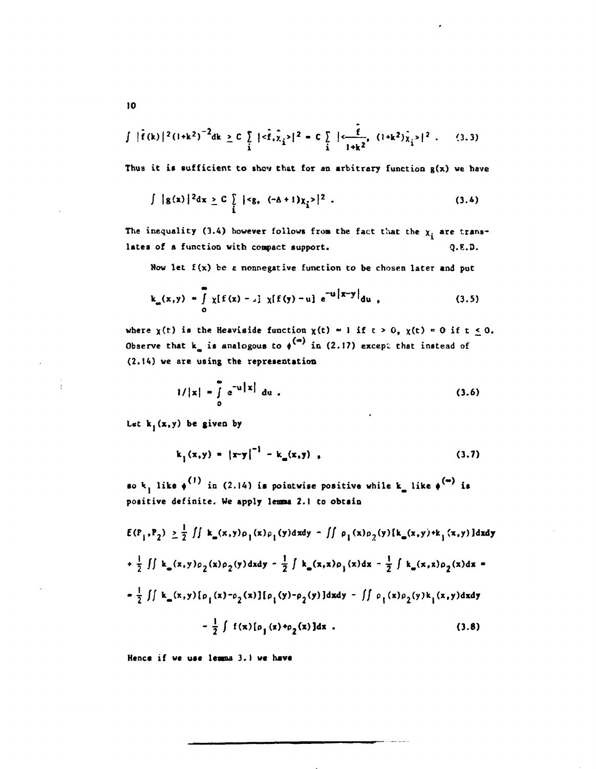$$
\int |\hat{f}(k)|^2 (1+k^2)^{-2} dk \geq C \int_{\hat{i}} |\langle \hat{f}, \hat{\chi}_{\hat{i}} \rangle|^2 = C \int_{\hat{i}} |\langle \frac{\hat{f}}{1+k^2}, (1+k^2) \hat{\chi}_{\hat{i}} \rangle|^2. \qquad (3.3)
$$

**Thus it is sufficient to shcv that for an arbitrary function g(x) ve have** 

$$
\int |g(x)|^2 dx \geq C \int_{\tilde{I}} ||^2.
$$
 (3.4)

The inequality (3.4) however follows from the fact that the  $x_i$  are trans**lates of a function with conpact support. Q.E.D.** 

**Mow let f(x) be** *z* **nonnegative function to be chosen later and put** 

$$
k_{m}(x,y) = \int_{0}^{\infty} \chi[f(x) - x] \chi[f(y) - u] e^{-u [x-y]} du,
$$
 (3.5)

where  $\chi(t)$  is the Heaviside function  $\chi(t) = 1$  if  $t > 0$ ,  $\chi(t) = 0$  if  $t \le 0$ . Observe that  $k_{\alpha}$  is analogous to  $\phi^{(\alpha)}$  in (2.17) except that instead of **(2.14) we are using the representation** 

$$
1/|x| = \int_{0}^{\infty} e^{-u|x|} du
$$
 (3.6)

Let  $k_i(x,y)$  be given by

$$
k_1(x,y) = |x-y|^{-1} - k_{\omega}(x,y) , \qquad (3.7)
$$

so  $k_1$  like  $\phi^{(1)}$  in (2.14) is pointwise positive while  $k_a$  like  $\phi^{(m)}$  is positive definite. We apply lemma 2.1 to obtain

$$
E(P_1, P_2) \ge \frac{1}{2} \iint k_m(x, y) \rho_1(x) \rho_1(y) dxdy - \iint \rho_1(x) \rho_2(y) [k_m(x, y) + k_1(x, y)] dxdy
$$
  
+  $\frac{1}{2} \iint k_m(x, y) \rho_2(x) \rho_2(y) dxdy - \frac{1}{2} \int k_m(x, x) \rho_1(x) dx - \frac{1}{2} \int k_m(x, x) \rho_2(x) dx =$   
=  $\frac{1}{2} \iint k_m(x, y) [\rho_1(x) - \rho_2(x)] [\rho_1(y) - \rho_2(y)] dxdy - \iint \rho_1(x) \rho_2(y) k_1(x, y) dxdy$   
-  $\frac{1}{2} \int f(x) [\rho_1(x) + \rho_2(x)] dx$ . (3.8)

**Hence if we use lensna 3.1 we have**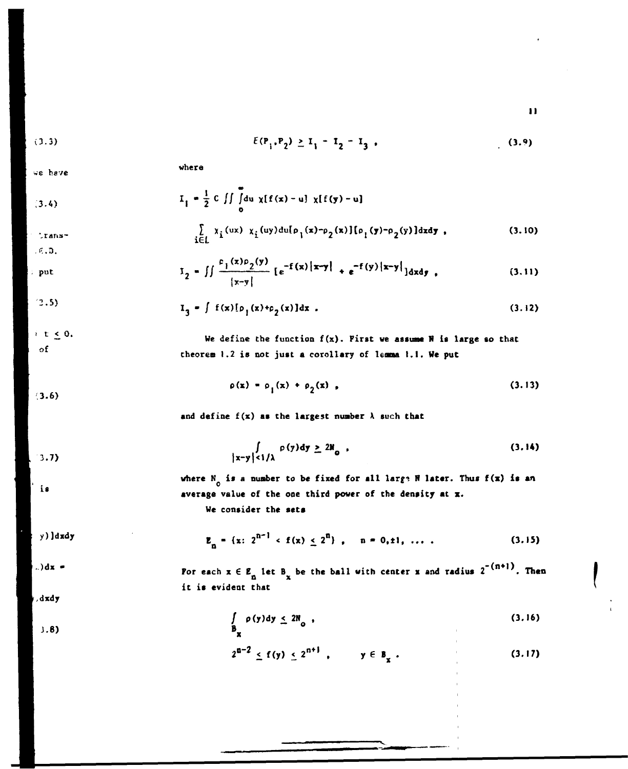**II** 

$$
E(P_1, P_2) \ge I_1 - I_2 - I_3 \tag{3.9}
$$

*e* **heve** 

(3.4) 
$$
I_{1} = \frac{1}{2} C \iint_{0}^{2} du \chi[f(x) - u] \chi[f(y) - u]
$$
  
Trans- 
$$
\sum_{i \in L} \chi_{i}(ux) \chi_{i}(uy) du[\rho_{1}(x) - \rho_{2}(x)] [\rho_{1}(y) - \rho_{2}(y)] dxdy
$$
 (3.10)

**where** 

$$
I_2 = \iint \frac{c_1(x)c_2(y)}{|x-y|} [e^{-f(x)}|x-y| + e^{-f(y)}|x-y|] dxdy,
$$
 (3.11)

$$
\left( 2.5\right)
$$

**i c <\_0. of** 

**.K.D.** 

**put** 

 $I_3 - \int f(x)[p_1(x)+p_2(x)]dx$ . (3.12)

**We define the function f(x). First we assune H is large so that theorem 1.2 is not just a corollary of leoma I.I. We put** 

$$
\rho(x) = \rho_1(x) + \rho_2(x), \qquad (3.13)
$$

**3.6)** 

**3.7)** 

18

and define  $f(x)$  as the largest number  $\lambda$  such that

$$
\int_{|x-y| < 1/\lambda} \rho(y) dy \ge 2\aleph_0 \tag{3.14}
$$

where  $N_{0}$  is a number to be fixed for all large  $N$  later. Thus  $f(x)$  is an **o average value of the one third power of the density at x.** 

**We consider the sets** 

**y)]dxdy** 

 $E_n = \{x: 2^{n-1} \cdot f(x) \leq 2^n\}$ ,  $n = 0, \pm 1, \ldots$ **n ~ (3.15)** 

**)dx -**

**,dxdy** 

**J.8)** 

For each  $x \in E_n$  let  $B_x$  be the ball with center x and radius 2  $\cdots$ , Then **it is evident that** 

$$
\int_{B_{\mathbf{X}}} \rho(\mathbf{y}) d\mathbf{y} \leq 2\mathbb{N}_{0} \tag{3.16}
$$

$$
2^{n-2} \le f(y) \le 2^{n+1}
$$
,  $y \in B_x$ . (3.17)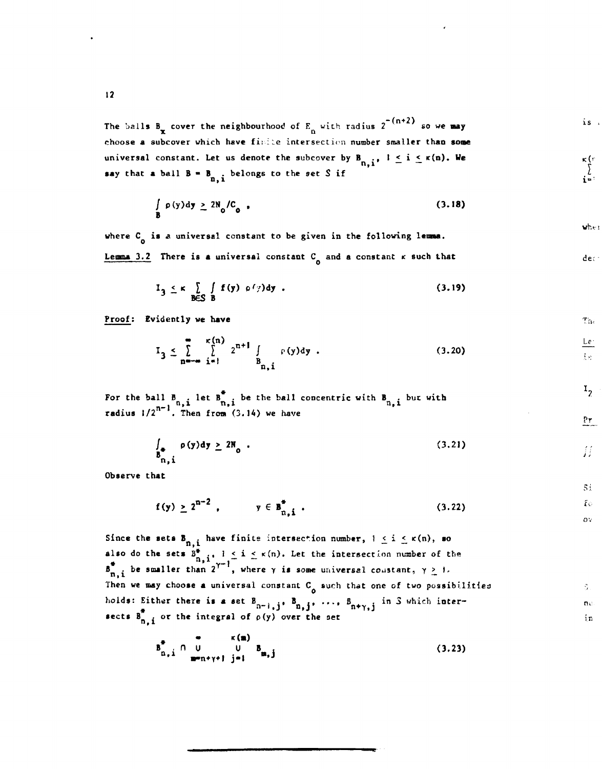The balls  $B_x$  cover the neighbourhood of  $E_y$  with radius 2 ° so we may **choose a subcover which have fi: ::e intersect ion number smaller than soae**  universal constant. Let us denote the subcover by  $B_{n,i}$ ,  $i \leq i \leq \kappa(n)$ . We **n,i say that a ball**  $B = B_{n,i}$  **belongs to the set S if** 

$$
\int_{B} \rho(y) dy \ge 2N_0/C_0 \tag{3.18}
$$

**where C is** *A* **universal constant to be given in the following lemma.** 

**Lemma 3.2 There is a universal constant C and a constant r such that** 

$$
I_{3} \leq \kappa \sum_{B \in S} \int f(y) \rho \left(\gamma\right) dy \tag{3.19}
$$

**Proof; Evidently we have** 

$$
I_{3} \leq \sum_{n=-\infty}^{\infty} \sum_{i=1}^{\kappa(n)} 2^{n+1} \int_{B_{n,i}} \rho(y) dy
$$
 (3.20)

For the ball  $B_{n,i}$  let  $B_{n,i}$  be the ball concentric with  $B_{n,i}$  but with **radius 1/2 . Then fro» (3.14) we have** 

$$
\int_{\mathbf{B}_{n,i}^*} \rho(\mathbf{y}) d\mathbf{y} \ge 2\mathbf{N}_0 \tag{3.21}
$$

**n**, **Observe that** 

$$
f(y) \ge 2^{n-2}
$$
,  $y \in B_{n, i}^*$ . (3.22)

Since the sets  $B_{n,i}$  have finite intersection number,  $1 \leq i \leq \kappa(n)$ , so also do the sets  $B^*_{n, i}$ ,  $i \leq i \leq \kappa(n)$ . Let the intersection number of the **# <sup>n</sup>>\*<sup>Y</sup> \_ r - B . be smaller than 2 , where** *y* **is SOBMS universal constant,** *y >* **i-n<sup>1</sup> 1 -—**  Then we may choose a universal constant C<sub>o</sub> such that one of two possibilities holds: Either there is a set  $B_{n-1,j}$ ,  $B_{n,j}$ , ...,  $B_{n+\gamma,j}$  in 3 which inter-**#**  $\mathbf{R}^{\bullet}$ , i or the integral of  $p(y)$  over the set

$$
B_{n,i}^{\bullet} \cap U \qquad U \qquad B_{m,j} \qquad (3.23)
$$

 $\mathbf{w}$ her

 ${\rm dec}$ 

 $\rm{Tr}_{\rm{B}}$ 

 $Le$  $\mathcal{L}(\mathcal{S})$  .

 $I_{2}$ 

 $\frac{Pr}{}$ 

Ħ

 $5t$ Ϊö ov.

S. ne.  $\mathbf{in}$ 

 $\kappa$  (r<br> $\sum_{i=1}^{k}$ 

 $is$ .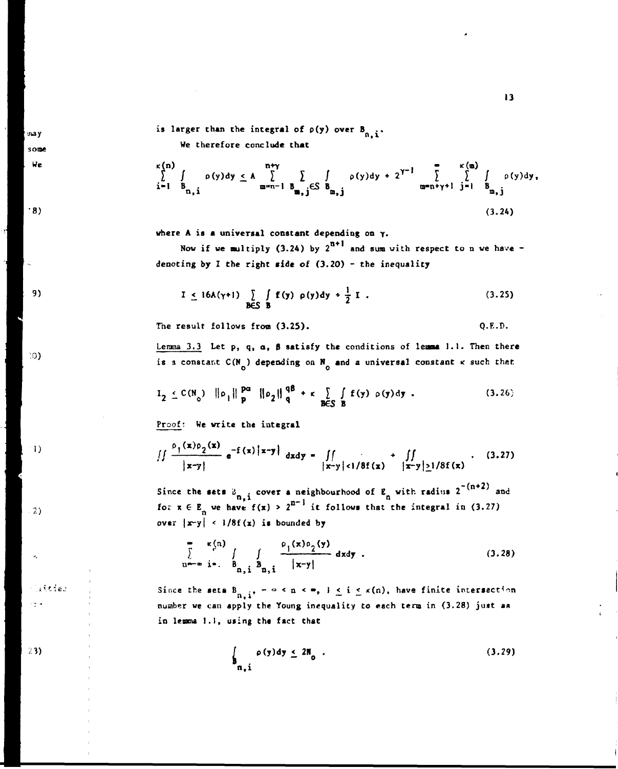**is larger than the integral of p(y) over B ft** *1***1** 

**siay** some We

 $.8)$ 

9)

10)

 $\left(1\right)$ 

2)

*Sittles* 

ورج

23)

$$
\sum_{i=1}^{k(n)} \int_{B_{n,i}} \rho(y) dy \le A \sum_{m=n-1}^{n+\gamma} \sum_{B_{m,j}\in S} \int_{B_{m,j}} \rho(y) dy + 2^{\gamma-1} \sum_{m=n+\gamma+1}^{k(n)} \sum_{j=1}^{k(m)} \int_{B_{m,j}} \rho(y) dy,
$$
\n(3.24)

**where A is a universal constant depending on y.** 

Now if we multiply  $(3.24)$  by  $2^{n+1}$  and sum with respect to n we have **denoting by I the right side of (3.20) - the inequality** 

$$
I \le 16A(\gamma+1) \sum_{B \in S} \int f(y) \rho(y) dy + \frac{1}{2} I . \qquad (3.25)
$$

**The result follows from (3.25). Q.E.D.** 

**Lemma 3.3 Let p, q, a, 8 satisfy the conditions of leona 1.1. Then there**  is a constant  $C(N_0)$  depending on  $N_0$  and a universal constant  $\kappa$  such that

$$
I_2 \leq C(N_0) \quad ||\rho_1|| \frac{pa}{p} \quad ||\rho_2|| \frac{q\beta}{q} + \kappa \quad \sum_{B \in S} \int_{B} f(y) \quad \rho(y) dy \quad . \tag{3.26}
$$

Proof: We write the integral

$$
\iint \frac{\rho_1(x)\rho_2(x)}{|x-y|} e^{-f(x)|x-y|} dxdy = \iint_{|x-y| < 1/8f(x)} + \iint_{|x-y| \ge 1/8f(x)}.
$$
 (3.27)

**|x-y| jx-y|<l/8f(x) |x-y|>\_l/8f(x) Since the sets** *A .* **cover a neighbourhood of E with raditis 2 and**  for  $x \in E_n$  we have  $f(x) \neq 1$  it follows that the integral in (3.27)  $over \ |x-y| < 1/8f(x)$  is bounded by

$$
\sum_{n=-\infty}^{\infty} \frac{x(n)}{i^2} \int_{B_{n,i}} \int_{B_{n,i}} \frac{\rho_1(x)\rho_2(y)}{|x-y|} dxdy
$$
 (3.28)

Since the sets  $B_{n,i}$ ,  $-\circ \le n \le \infty$ ,  $1 \le i \le \kappa(n)$ , have finite intersection **number we can apply the Young inequality to each tero in (3.28) just as in lessna 1.1, using the fact that** 

$$
\int_{\mathbf{B}_{n,i}} \rho(\mathbf{y}) d\mathbf{y} \le 2\mathbf{N}_0 \tag{3.29}
$$

**13**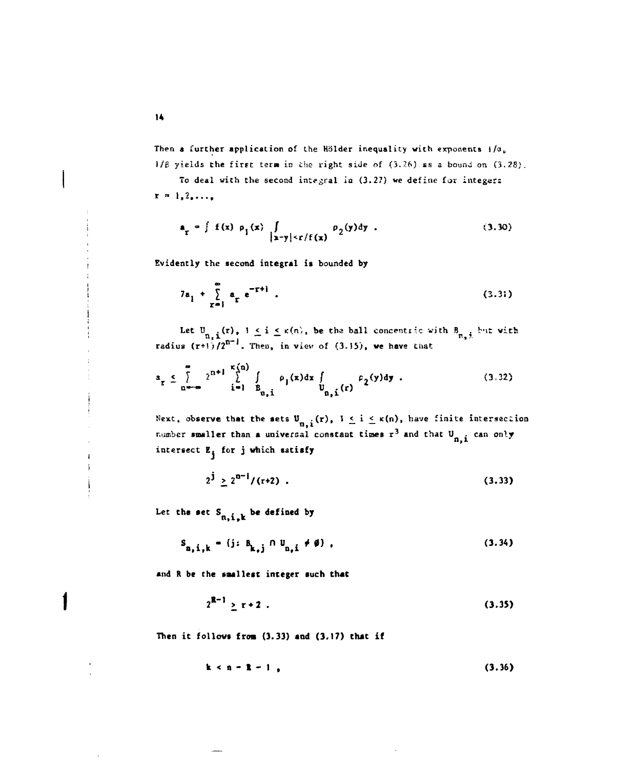Then a further application of the Hölder inequality with exponents i/a<sub>0</sub> **1/p yields the first terst in the right side of (3.26) ss a bound on (3,28)** 

To deal with the second integral in (3.27) we define for integers  $x = 1, 2, ...,$ 

$$
\mathbf{a}_{\mathbf{r}} = \int f(\mathbf{x}) \rho_{\mathbf{i}}(\mathbf{x}) \int_{|\mathbf{x}-\mathbf{y}| \leq r/f(\mathbf{x})} \rho_{2}(\mathbf{y}) d\mathbf{y} . \qquad (3.30)
$$

Evidently the second integral is bounded by

$$
7a_1 + \sum_{r=1}^{\infty} a_r e^{-r+1} . \tag{3.31}
$$

Let  $U_{n,i}(r)$ ,  $i \leq i \leq \kappa(n)$ , be the ball concentric with  $B_{n,j}$  but with  $\frac{1}{1}$   $\frac{1}{2}$  Then in view of  $(3, 15)$  we have that **radius (r+O/2 . Thea, in view of (3.15), we have that** 

$$
a_{\mathbf{r}} \leq \sum_{n=-\infty}^{\infty} 2^{n+1} \sum_{i=1}^{\kappa(n)} \int_{B_{n,i}} \rho_{i}(x) dx \int_{B_{n,i}} \rho_{2}(y) dy . \qquad (3.32)
$$

Next, observe that the sets  $U_{n,i}(r)$ ,  $1 \le i \le \kappa(n)$ , have finite intersection n, .<br>. . **number smaller than a universal constant times r3 and that U . can** *or\\r*  intersect E<sub>j</sub> for j which satisfy

$$
2^{\mathbf{j}} \geq 2^{n-1} / (r+2) \tag{3.33}
$$

**2 d**  $\mathbf{r}$  **1.33 d**  $\mathbf{r}$  **1.33** 

 $\pm$ 

$$
S_{n, i, k} = \{j : B_{k, j} \cap U_{n, i} \neq \emptyset\},
$$
 (3.34)

and R be the smallest integer such that

$$
2^{R-1} \ge r+2 \tag{3.35}
$$

**Then it follows fron (3.33) and (3.17) that if** 

 $k < n - R - 1$  (3.36)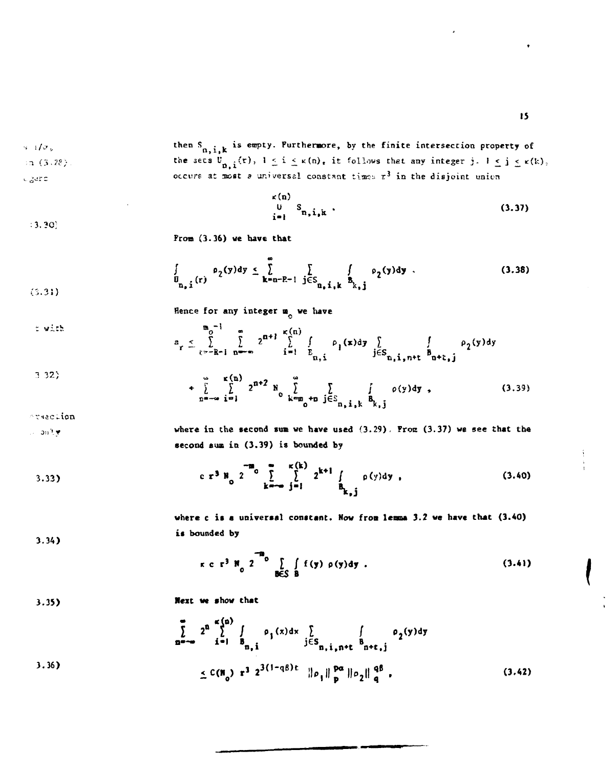*i*  $e^{i\omega}$ , then  $\int_{n,i,k}$  is empty. Furthermore, by the finite intersection property of .28). the sets  $v_{n,i}^{\dagger}(r)$ ,  $1 \leq i \leq \kappa(n)$ , it follows that any integer j.  $1 \leq j \leq \kappa(k)$  $in (3.28)$ .  $c_2$ ers **constant at most** *a* universal constant times  $r^3$  in the disjoint union

$$
\begin{array}{c}\n\kappa(n) \\
0 \quad S_{n,i,k}\n\end{array} \n\tag{3.37}
$$

**Fron (3.36) we have that** 

$$
\int_{\mathbf{U}_{\mathbf{n},\mathbf{i}}(r)} \rho_2(y) dy \leq \sum_{\mathbf{k}=\mathbf{n}-\mathbf{R}-1} \sum_{\mathbf{j} \in \mathbf{S}_{\mathbf{n},\mathbf{i},\mathbf{k}}} \int_{\mathbf{B}_{k},\mathbf{j}} \rho_2(y) dy \tag{3.38}
$$

Hence for any integer **a** we have

$$
z_{r} \leq \sum_{i=-\infty}^{\infty} \sum_{i=1}^{n} 2^{n+1} \sum_{i=1}^{\kappa(n)} \int_{\substack{i=1 \ \kappa_1, i}} \rho_i(x) dy \int_{j \in S_{n,i,n+1}} \int_{0}^{\infty} \rho_2(y) dy
$$
  
3.32)  

$$
+ \sum_{n=-\infty}^{\infty} \sum_{i=1}^{\kappa(n)} 2^{n+2} N_0 \sum_{k=m_0+1}^{\infty} \int_{j \in S_{n,i,k}} \rho_1(y) dy
$$
 (3.39)

orsaction

$$
\omega=0.0, \xi, \psi
$$

**3.34)** 

**3.36)** 

**3.?0;** 

**iS)** 

**where** in **the second sum we have used (3.29). From (3.37) we see that the**  second sum in (3.39) is bounded by

3.33) 
$$
c \t r^{3} N_{0} 2^{-m_{0}} \sum_{k=-\infty}^{\infty} \sum_{j=1}^{k(k)} 2^{k+1} \int_{B_{k,j}} \rho(y) dy
$$
 (3.40)

where c is a universal constant. Now from lemma 3.2 we have that (3.40) **is bounded by** 

**-a**   $r \ c \ r^3 \ N \ 2 \ 2 \ \ \, \bigg\{ \int f(y) \ \rho(y) dy \ . \tag{3.41}$ **<sup>0</sup> B€S B** 

**3.35) Next we show that** 

$$
\sum_{n=-\infty}^{\infty} 2^{n} \sum_{i=1}^{\infty} \int_{B_{n,i}} \rho_1(x) dx \int_{j \in S_{n,i,n+t}} \int_{B_{n+1,j}} \rho_2(y) dy
$$
  

$$
\leq C(N_0) r^3 2^{3(1-q\beta)t} ||\rho_1||_{p}^{pq} ||\rho_2||_{q}^{q\beta},
$$
 (3.42)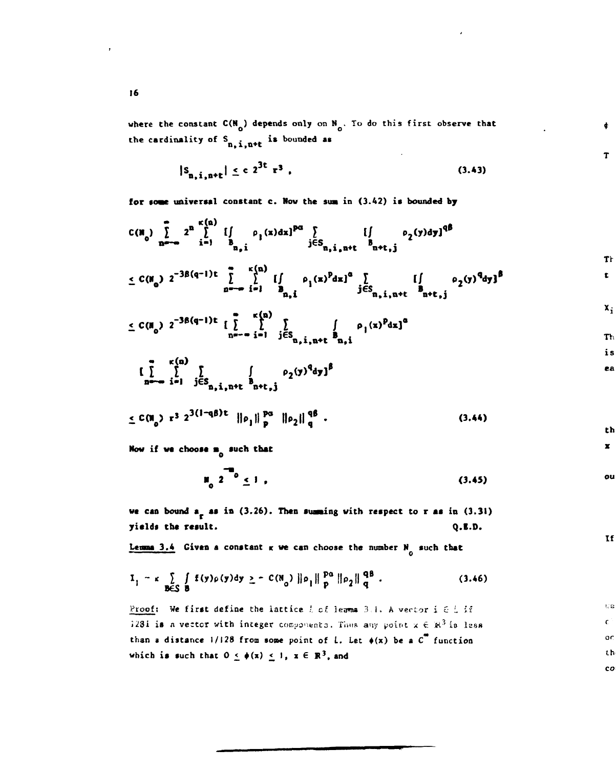where the constant  $C(N_0)$  depends only on  $N_0$ . To do this first observe that the cardinality of  $S_{n,i,n+t}$  is bounded as

$$
|S_{n, i, n+t}| \le c \; 2^{3t} \; r^3 \; , \tag{3.43}
$$

**for soae universal constant c. Mow the** sua **in (3.42) is bounded by** 

$$
C(\mathbf{N}_0) \sum_{n=-\infty}^{\infty} 2^n \sum_{i=1}^{\kappa(n)} \left[ \int_{B_{n,i}} \rho_i(x) dx \right]^{p\alpha} \sum_{j \in S_{n,i,n+1}} \left[ \int_{B_{n+1,j}} \rho_2(y) dy \right]^{q\beta}
$$

4.

 $\mathbf T$ 

th  $\pmb{\mathbf{x}}$  .

ou

 $\mathbf{H}$ 

 $\overline{\mathcal{M}}\otimes$  $\mathbf{c}$  $\circ$  $th$  $\mathbf{c}\mathbf{o}$ 

$$
\leq C(\mathbf{M}_0) \ 2^{-3\beta(q-1)t} \sum_{n=-\infty}^{\infty} \left[ \int\limits_{\mathbf{B}_{n,i}} \rho_1(x)^p dx \right]^a \sum_{j \in S_{n,i,n+t}} \left[ \int\limits_{\mathbf{B}_{n+\mathbf{t},j}} \rho_2(y)^q dy \right]^b
$$

$$
\leq C(\mathbf{M}_0) \ 2^{-3\beta(q-1)\epsilon} \ \underset{n=-\infty}{\left[\sum_{i=1}^{\infty}\sum_{j\in S_{n,i,n+\epsilon}}^{K(n)}\sum_{\mathbf{B}_{n,i}}^{S_{n,i,n+\epsilon}}\rho_1(x)^p dx\right]^{\alpha}} \ \mathbf{M}_1
$$

$$
\left[\int_{n}^{\infty}\int_{i=1}^{c(n)}\int_{j\in S_{n,i,n+t}}\int_{n+t,j}\rho_{2}(y)^{q}dy\right]^{s}
$$

$$
\leq C(n_0) r^3 2^{3(1-q\beta)t} ||\rho_1||_p^{pq} ||\rho_2||_q^{q\beta}
$$
 (3.44)

**Now if we choose m<sub>o</sub> such that** 

$$
\mu_0^2 \, 2^{\frac{1}{100}} \leq 1 \tag{3.45}
$$

we can bound  $a_r$  as in (3.26). Then summing with respect to r as in (3.31) **yields the result. Q.E.D.** 

Lemma 3.4 Given a constant  $\kappa$  we can choose the number  $N_0$  such that

**1** of the contract of the contract of the contract of the contract of the contract of the contract of the contract of the contract of the contract of the contract of the contract of the contract of the contract of the con

$$
I_1 = \kappa \sum_{B \in S} \int_{B} f(y) \rho(y) dy \geq - C(N_0) \|\rho_1\|_p^{p_0} \|\rho_2\|_q^{q_0}.
$$
 (3.46)

Proof: We first define the lattice *l* of lemma 3.1, A vector i G L if  $323i$  is a vector with integer components. Thus any point  $x \in \mathbb{R}^3$  is less than a distance  $1/128$  from some point of L. Let  $\phi(x)$  be a  $C^{\infty}$  function which is such that  $0 \leq \phi(x) \leq 1$ ,  $x \in \mathbb{R}^3$ , and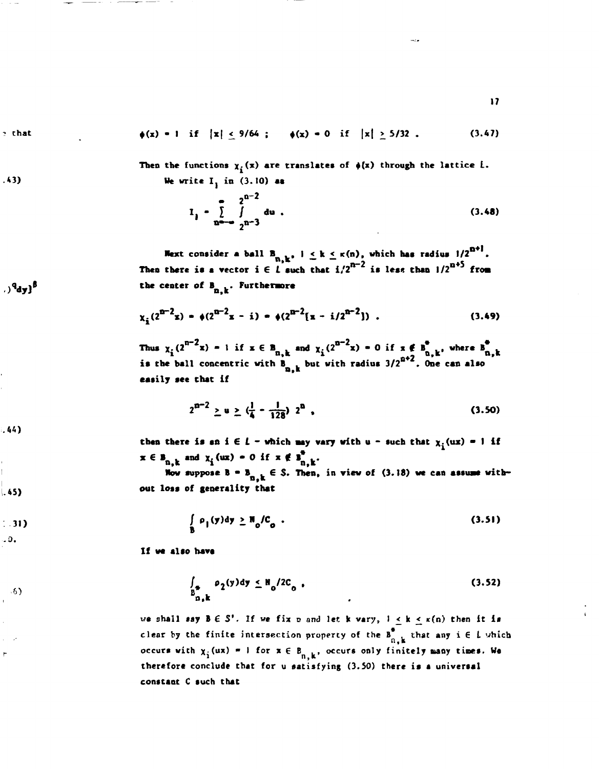$2$  that

 $.43)$ 

$$
\phi(x) = 1 \quad \text{if} \quad |x| \leq 9/64 \quad ; \qquad \phi(x) = 0 \quad \text{if} \quad |x| \geq 5/32 \quad . \tag{3.47}
$$

Then the functions  $\chi_i(x)$  are translates of  $\phi(x)$  through the lattice L. **We write I{ in (3.10) as** 

$$
I_{j} = \sum_{n=-\infty}^{\infty} \int_{2^{n-3}}^{2^{n-2}} du
$$
 (3.48)

**17** 

**Hext consider a ball B<sub>n, k</sub>, j < k < x(n), which has radius 1/2" Then there is a vector i**  $\in$  $\iota$  **such that**  $i/2^{n-1}$  **is less than**  $1/2^{n-2}$  **from the center of B , . Furthermore n,k** 

$$
\chi_{\hat{\mathbf{i}}} (2^{n-2} \mathbf{x}) = \phi (2^{n-2} \mathbf{x} - \mathbf{i}) = \phi (2^{n-2} [\mathbf{x} - \mathbf{i}/2^{n-2}]) \tag{3.49}
$$

**Thus**  $\chi_2(2^{n-x}x) = 1$  if  $x \in B_{n-k}$  and  $\chi_2(2^{n-x}x) = 0$  if  $x \notin B_{n-k}$ , where  $B_{n-k}$ hall concentric with  $\beta$  but with radius  $3/2^{0.2}$ . One can also **is the ball concentric with B . but with radius** 3/2° **. One can also** 

$$
2^{n-2} \ge u \ge (\frac{1}{4} - \frac{1}{128}) 2^{n} , \qquad (3.50)
$$

then there is an  $i \in L$  - which may vary with  $u$  - such that  $x_i(ux) = 1$  if  $x \in B_{n,k}$  and  $\chi_i(\mathbf{u}\mathbf{x}) = 0$  if  $x \notin B_{n,k}^*$ .

Now suppose  $B = B_{n,k} \in S$ . Then, in view of (3.18) we can assume with**out loss of generality Chat** 

$$
\int_{B} \rho_1(y) dy \geq \mathbb{N}_0 / C_0 . \tag{3.51}
$$

**If we also have** 

$$
\int_{B_{B,k}^*} \rho_2(y) dy \leq N_0 / 2C_0 \tag{3.52}
$$

we shall say  $B \in S'$ . If we fix n and let k vary,  $1 \le k \le \kappa(n)$  then it is clear by the finite intersection property of the  $B_{n,k}^*$  that any  $i \in L$  which occurs with  $\chi$ <sub>i</sub> (ux) = 1 for  $x \in B_{n-k}$ , occurs only finitely many times. We **therefore conclude that for u satisfying** (3.50) **there is a universal constant C such that** 

<sup>8</sup>زی<sup>9</sup>د.

 $.44)$ 

 $|.45)$ 

 $\cdot$  31)  $.0.$ 

- 6)  $\bar{\mathbf{r}}$ 

 $\mathsf{P}$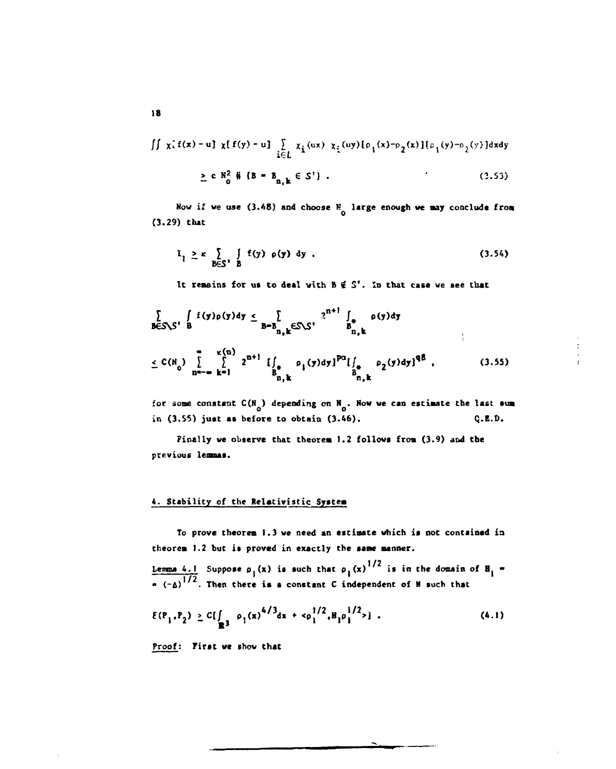$$
\iint \chi_{i} f(x) - u \iint \chi[f(y) - u] \sum_{i \in L} \chi_{i} (ux) \chi_{i} (uy) [\rho_{1}(x) - \rho_{2}(x)] [\rho_{1}(y) - \rho_{2}(y)] dxdy
$$
  
 
$$
\geq c N_{0}^{2} \# \{B - B_{n_{1}k} \in S'\}.
$$
 (3.53)

**Now if we use (3.48) and choose N large enough we nay conclude from (3.29) that** 

$$
I_1 \ge \kappa \sum_{B \in S^1} \int_B f(y) \rho(y) dy . \qquad (3.54)
$$

It remains for us to deal with  $B \notin S'$ . In that case we see that

$$
\sum_{B \in S \setminus S'} \int_{B} f(y) \rho(y) dy \le \sum_{B = B_{n,k} \in S \setminus S'} 2^{n+1} \int_{B_{n,k}} \rho(y) dy
$$
\n
$$
\le C(N_0) \sum_{n=-\infty}^{\infty} \int_{k=1}^{\kappa(n)} 2^{n+1} \int_{B_{n,k}^*} \rho_1(y) dy l^{p\alpha} [\int_{B_{n,k}^*} \rho_2(y) dy]^{q\beta}, \qquad (3.55)
$$

for some constant  $C(N_0)$  depending on  $N_0$ . Now we can estimate the last sum **in (3.55) just as before to obtain (3.46). Q.E.D.** 

**Finally we observe that theorea 1.2 follows froa (3.9) and the previous lemnas.** 

# **4. Stability of the Relativistic Systea**

**To prove theorea 1.3 we need an estiaate which is not contained in theorem 1.2 but is proved in exactly the sane manner.** 

**Lemma 4.1** Suppose  $\rho_1(x)$  is such that  $\rho_1(x)^{1/2}$  is in the domain of  $H_1$  =  $T = (r_0)^{1/2}$ . Then there is a constant C independent of N such that

$$
E(P_1, P_2) \ge C[\int_{\mathbb{R}^3} \rho_1(x)^{4/3} dx + c\rho_1^{1/2}, H_1\rho_1^{1/2} > 1. \qquad (4.1)
$$

**Proof: First we show that**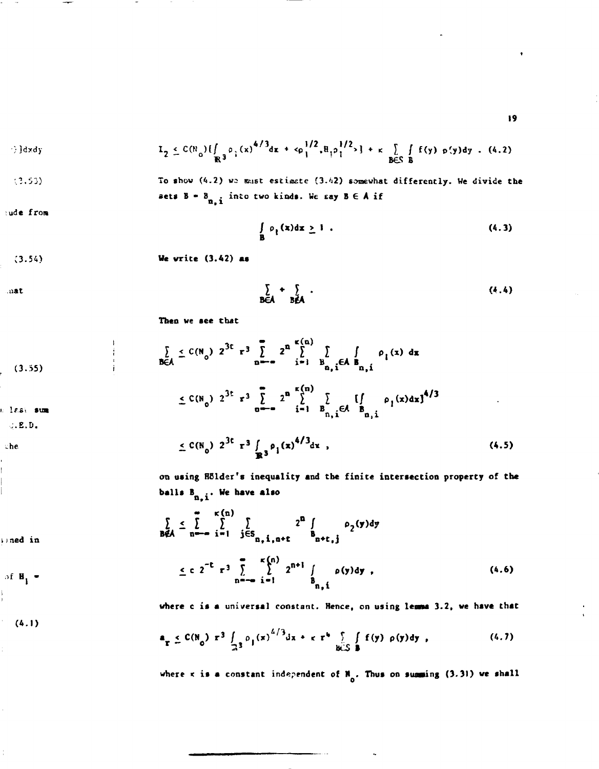**19** 

$$
I_2 \leq C(\mathbb{N}_0) \left[ \int_{\mathbb{R}^3} \rho_1(x)^{4/3} dx + c \rho_1^{1/2} \rho_1^{1/2} \right] + \kappa \int_{\mathbb{B} \in \mathbb{S}^3} f f(y) \rho(y) dy \quad (4.2)
$$

**;.?.53) To shov (4.2)** *V2* **must estimate (3.'J2 ) somewhat differently. We divide the** 

**sets 8- 8 . into two kinds. We eay B 6 A if n, 1** 

$$
\mathsf{ude}\,\,\mathbf{from}\,\,
$$

$$
\int_{B} \rho_1(x) dx \geq 1 . \tag{4.3}
$$

**(3.54) We write (3.42) as** 

 $\sum_{B \in A} + \sum_{B \notin A}$ .  $(4.4)$ 

**Then we see that** 

(3.55)  
\n
$$
\sum_{B \in A} \le C(N_0) 2^{3t} r^3 \sum_{n=-\infty}^{\infty} 2^n \sum_{i=1}^{k(n)} \sum_{B_{n,i} \in A} \int_{B_{n,i}} \rho_1(x) dx
$$
\n(3.56)  
\n
$$
\le C(N_0) 2^{3t} r^3 \sum_{n=-\infty}^{\infty} 2^n \sum_{i=1}^{k(n)} \sum_{B_{n,i} \in A} \int_{B_{n,i}} \rho_1(x) dx \frac{1}{2}^{4/3}
$$
\n(4.5)  
\n
$$
\le C(N_0) 2^{3t} r^3 \int_{\mathbb{R}^3} \rho_1(x)^{4/3} dx
$$

**on using Holder's inequality and the finit e intersection property of the balls B**<sub>n,i</sub>. We have also

$$
\sum_{B \notin A} \leq \sum_{n = -\infty}^{\infty} \sum_{i=1}^{\kappa(n)} \sum_{j \in S_{n, i, n + \epsilon}} 2^{n} \int_{n + \epsilon, j} \rho_{2}(y) dy
$$
\n
$$
\leq c \ 2^{-t} \ r^{3} \sum_{n = -\infty}^{\infty} \sum_{i=1}^{\kappa(n)} 2^{n + i} \int_{B_{n, i}} \rho(y) dy
$$
\n(4.6)

where c is a universal constant. Hence, on using lemma 3.2, we have that

$$
a_{\mathbf{r}} \leq C(N_0) \ \mathbf{r}^3 \int_{\mathbb{R}^3} \rho_1(x)^{4/3} \mathrm{d}x + c \ \mathbf{r}^4 \int_{\mathbb{R} \times \mathbb{S}^3} f(f(y) \ \rho(y) \mathrm{d}y , \qquad (4.7)
$$

where  $x$  is a constant independent of  $\mathbb{N}_0$ . Thus on summing (3.31) we shall

 $\cdots$ 

**uat** 

**If Si SUB** *Om-m* **1»1 B .GA B** 

**;.E.D.** 

**he** 

 $\sum_{k \geq 0}$  **and in**  $B \notin \mathbb{R}$ 

**(4.1)**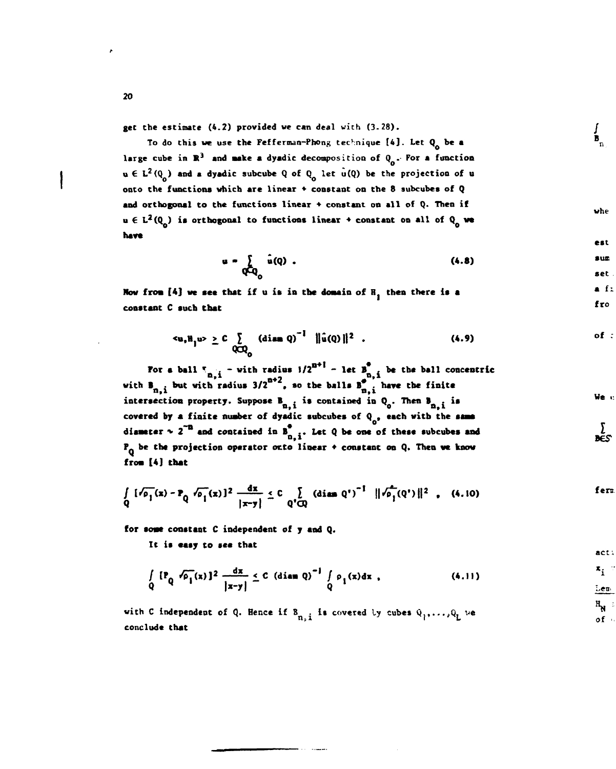**get** the estimate (4.2) provided we can deal with (3.28).

To do this we use **the** Fefferman-Phong technique **[4]. Let Q be a**  large cube in  $\mathbb{R}^3$  and **make a** dyadic decomposition of  $Q_n$ . For a function  $u \in L^2(Q_0)$  and a dyadic subcube Q of Q<sub>0</sub> let  $u(Q)$  be the projection of u onto the functions which **are** linear • constant on the 8 subcube**a of Q**  and orthogonal to the functions linear + constant on all of Q. Then if  $u \in L^2(Q_n)$  is orthogonal to functions linear  $\div$  constant on all of  $Q_n$  we **hare** 

$$
\mathbf{u} = \sum_{\mathbf{Q} \in \mathbf{Q}_0} \hat{\mathbf{u}}(\mathbf{Q}) \tag{4.8}
$$

Now from [4] we see that if u is in the domain of R<sub>1</sub> then there is a **constant C such that** 

$$
u, H1 u > \ge C \sum_{Q \subset Q_0} (\text{diam } Q)^{-1} ||\hat{u}(Q)||^2
$$
 (4.9)

**For a ball**  $T_{n-i}$  - with radius  $1/2^{n-i}$  - let  $B_{n-i}$  be the ball concentric with  $B_{n,i}$  but with radius  $3/2^{n+2}$ , so the balls  $B_{n,i}^{p}$  have the finite intersection property. Suppose  $B_{n,i}$  is contained in  $Q_o$ . Then  $B_{n,i}$  is covered by a finite number of dyadic subcubes of Q<sub>o</sub>, each with the same diameter  $\sim 2^{-n}$  and contained in  $B_{n,i}^{\bullet}$ . Let Q be one of these subcubes and **P. be the projection operator otto linear • constant on Q. Then we know froa [4] that** 

$$
\int_{Q} [f_{\rho_{1}}(x) - P_{Q} f_{\rho_{1}}(x)]^{2} \frac{dx}{|x-y|} \leq C \int_{Q' \cap Q} (diam Q')^{-1} ||f_{\rho_{1}}(Q')||^{2} , (4.10)
$$

**for aoae constant C independent of y** and **Q.** 

**It is easy to** see **that** 

$$
\int_{Q} \left\{ P_{Q} \sqrt{\rho_{1}}(x) \right\}^{2} \frac{dx}{|x-y|} \leq C \left( \text{diam } Q \right)^{-1} \int_{Q} \rho_{1}(x) dx , \qquad (4.11)
$$

with C independent of Q. Hence if  $B_{n,i}$  is covered by cubes  $Q_1, \ldots, Q_L$  we conclude **that** 

*20* 

act:  $x_i$ Lem  $H_{\text{N}}$  :

*of* 

**We** 

)<br>DES

**B** 

whe

est sum set  $f:$ fro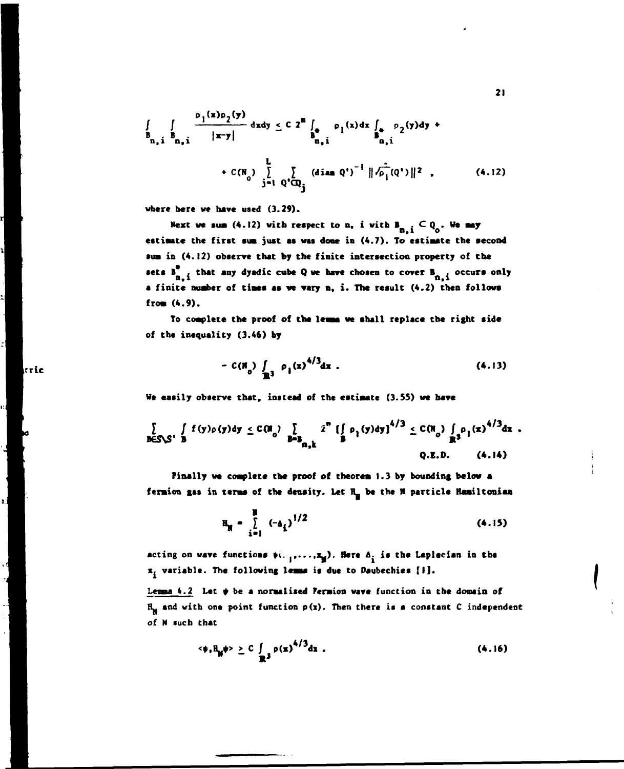$$
\iint_{B_{n,i}} \frac{\rho_1(x)\rho_2(y)}{|x-y|} dxdy \le C 2^{n} \int_{B_{n,i}} \rho_1(x)dx \int_{B_{n,i}} \rho_2(y)dy + C(N_0) \sum_{j=1}^{L} \left\{ \left( \text{diam } Q^j \right)^{-1} ||\hat{\rho_1}(Q^j)||^2 \right\}. \tag{4.12}
$$

**where here we have used (3.29).** 

tric

Next we sum (4.12) with respect to n, i with  $B_{n,i} \n\subset Q_0$ . We may **n,i o estiaate the first sua just as was done in (4.7). To estiaate the second sua in (4.12) observe that by the finite intersection property of the**  sets **B**<sub>n,</sub>i that any dyadic cube Q we have chosen to cover **B**<sub>n,i</sub> occurs only **a finite nuaber of tiaes as we vary n, i. The result (4.2) then follow\* froa (4.9).** 

**To coaplete the proof of the lease we shall replace the right side of the inequality (3.46) by** 

$$
- C(\mathbb{N}_0) \int_{\mathbb{R}^3} \rho_1(x)^{4/3} dx . \qquad (4.13)
$$

**We easily observe that, instead of the estiaate (3.55) we have** 

$$
\sum_{B \in S \setminus S'} \int_{B} f(y) \rho(y) dy \leq C \left(\mathbf{R}_0\right) \sum_{B=B_{\mathbf{R},\mathbf{k}}} \hat{z}^{\mathbf{R}} \left(\int_{B} \rho_1(y) dy\right)^{4/3} \leq C \left(\mathbf{R}_0\right) \int_{\mathbf{R}^3} \rho_1(x)^{4/3} dx.
$$
\nQ.E.D. (4.14)

**Finally we coaplete the proof of theorea 1.3 by bounding below a feraion gas in terms of the density. Let H\_ be the II psrticle Haailtonian** 

$$
H_{\text{M}} = \sum_{i=1}^{B} (-a_i)^{1/2} \tag{4.15}
$$

acting on wave functions  $\psi$ <sub>1</sub>,..., $\mathbf{x}_0$ ). Here  $\mathbf{A}_i$  is the Laplecian in the **x. variable. The following lease is due to Daubechies [I].** 

Lemma 4.2 Let  $\psi$  be a normalized Permion wave function in the domain of  $H_{\text{M}}$  and with one point function  $p(x)$ . Then there is a constant C independent **of N such that** 

$$
\langle \phi, \mathbb{H}_{\mathbb{N}} \phi \rangle \geq C \int_{\mathbb{R}^3} \rho(x)^{4/3} dx \tag{4.16}
$$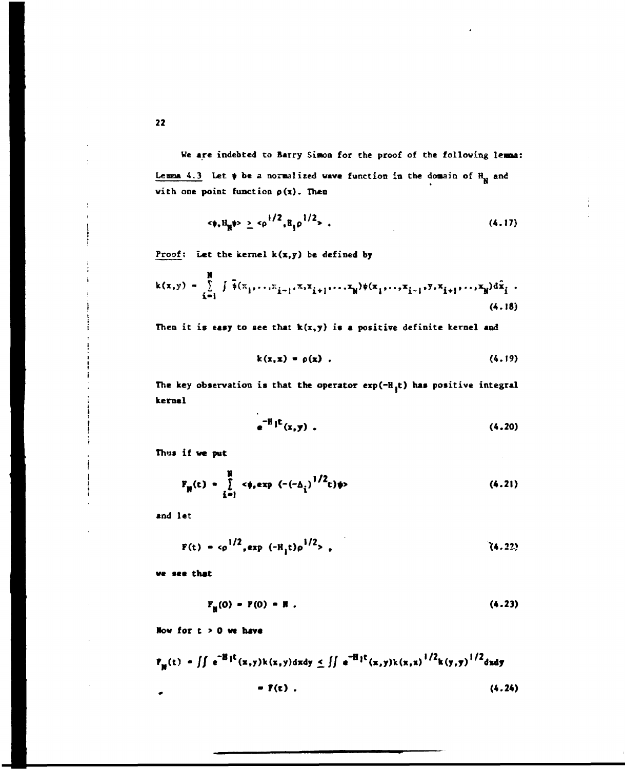We are indebted to Barry Simon for the proof of the following lemna: Lemma 4.3 Let  $\psi$  be a normalized wave function in the domain of  $H_M$  and **wich one point function p(x). Then** 

$$
\langle \phi, H_{\mathbb{R}} \phi \rangle \geq \langle \rho^{1/2}, H_{1} \rho^{1/2} \rangle \tag{4.17}
$$

Proof: Let the kernel k(x,y) be defined by

$$
k(x,y) = \sum_{i=1}^{N} \int \tilde{\phi}(\pi_1, \ldots, \pi_{i-1}, \pi, x_{i+1}, \ldots, x_N) \phi(\pi_1, \ldots, \pi_{i-1}, y, x_{i+1}, \ldots, x_N) d\tilde{x}_i
$$
 (4.18)

Then it is easy to see that  $k(x,y)$  is a positive definite kernel and

$$
k(x,x) = \rho(x) \tag{4.19}
$$

The key observation is that the operator  $exp(-H_1t)$  has positive integral **kernel** 

$$
e^{-H_1 t}(x,y) \tag{4.20}
$$

**Thus if we put** 

$$
F_{\mathbf{N}}(t) = \sum_{i=1}^{N} \langle \phi_i \exp(-(-\Delta_i))^{1/2} t \rangle \phi
$$
 (4.21)

**and let** 

$$
F(t) = c\rho^{1/2}, exp(-H_1 t)\rho^{1/2},
$$
 (4.22)

**w« see that** 

$$
F_{\mu}(0) = F(0) = R . \tag{4.23}
$$

**Row for c > 0 w hava** 

$$
P_{N}(t) = \iint e^{-H_{1}t}(x,y)k(x,y)dx dy \le \iint e^{-H_{1}t}(x,y)k(x,x)^{1/2}k(y,y)^{1/2}dxdy
$$
  
=  $\Gamma(t)$ . (4.24)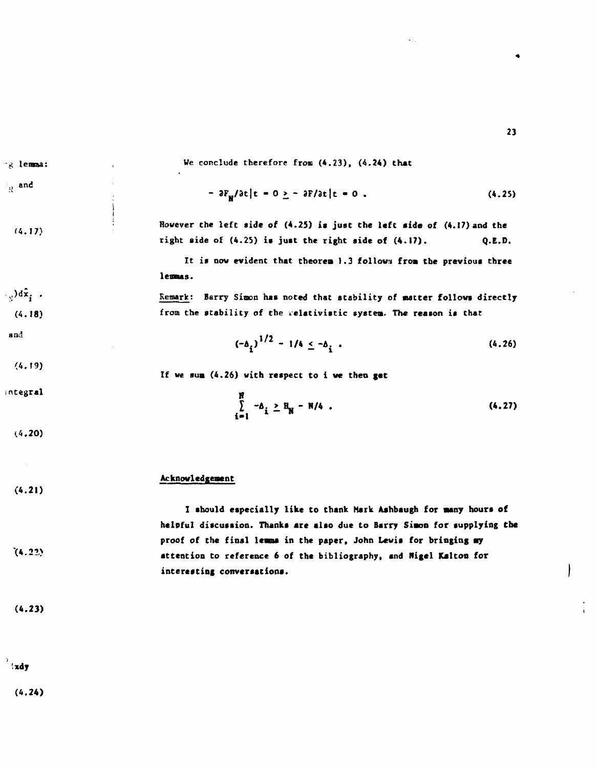**(4.17)**  lensaa: where the contract of the contract of the contract of the contract of the contract of the contract of the contract of the contract of the contract of the contract of the contract of the contract of the contract of the cont We conclude therefore from (4.23), (4.24) that  $- \frac{3F_{\text{N}}}{\text{at}}$  **c** = 0 <u>></u> -  $\frac{3F}{\text{at}}$  **c** = 0 . (4.25) **i**  I **However the left side of (4.25) is just the left side of (4.17) and the right side of (4.25) is just the right side of (4.17). Q.E.D. It is now evident that theorem 1.3 follow» from the previous three lemas.**  <sup>'</sup><sup>y</sup>)d<sup>2</sup>; . Remark: Barry Simon has noted that atability of matter follows directly (4.18) **from the stability of the relativistic system. The reason is that (4.19)**   $(4.20)$ **(4.21)**   $(-\delta_i)^{1/2} - 1/4 \leq -\delta_i$ . (4.26) **If we sua (4.26) with respect to i we then get tegral<sup>H</sup>**  $\sum -\Delta_i \geq R_{\rm m} - R/4$ . (4.27) **i-1** *<sup>l</sup>* **" Acknowledgement I should especially like to thank Mark Ashbaugh for many hours of** 

**23** 

**helpful discussion. Thanks are also due to Barry Simon for supplying Che proof of the final lemma in the paper, John Lewis for bringing my <sup>v</sup> attention to reference 6 of the bibliography, and Nigel Kalton for interesting conversations.** 

**(4.23)** 

 $(4.22)$ 

**and** 

and

**xdy** 

**(4.24)**